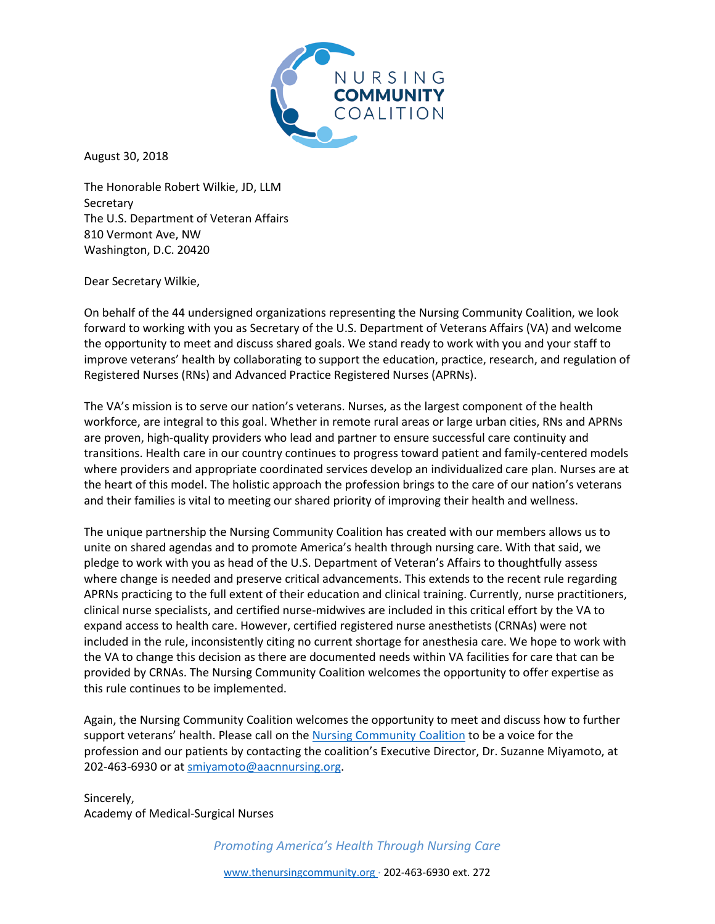

August 30, 2018

The Honorable Robert Wilkie, JD, LLM **Secretary** The U.S. Department of Veteran Affairs 810 Vermont Ave, NW Washington, D.C. 20420

Dear Secretary Wilkie,

On behalf of the 44 undersigned organizations representing the Nursing Community Coalition, we look forward to working with you as Secretary of the U.S. Department of Veterans Affairs (VA) and welcome the opportunity to meet and discuss shared goals. We stand ready to work with you and your staff to improve veterans' health by collaborating to support the education, practice, research, and regulation of Registered Nurses (RNs) and Advanced Practice Registered Nurses (APRNs).

The VA's mission is to serve our nation's veterans. Nurses, as the largest component of the health workforce, are integral to this goal. Whether in remote rural areas or large urban cities, RNs and APRNs are proven, high-quality providers who lead and partner to ensure successful care continuity and transitions. Health care in our country continues to progress toward patient and family-centered models where providers and appropriate coordinated services develop an individualized care plan. Nurses are at the heart of this model. The holistic approach the profession brings to the care of our nation's veterans and their families is vital to meeting our shared priority of improving their health and wellness.

The unique partnership the Nursing Community Coalition has created with our members allows us to unite on shared agendas and to promote America's health through nursing care. With that said, we pledge to work with you as head of the U.S. Department of Veteran's Affairs to thoughtfully assess where change is needed and preserve critical advancements. This extends to the recent rule regarding APRNs practicing to the full extent of their education and clinical training. Currently, nurse practitioners, clinical nurse specialists, and certified nurse-midwives are included in this critical effort by the VA to expand access to health care. However, certified registered nurse anesthetists (CRNAs) were not included in the rule, inconsistently citing no current shortage for anesthesia care. We hope to work with the VA to change this decision as there are documented needs within VA facilities for care that can be provided by CRNAs. The Nursing Community Coalition welcomes the opportunity to offer expertise as this rule continues to be implemented.

Again, the Nursing Community Coalition welcomes the opportunity to meet and discuss how to further support veterans' health. Please call on the [Nursing Community Coalition](http://www.thenursingcommunity.org/) to be a voice for the profession and our patients by contacting the coalition's Executive Director, Dr. Suzanne Miyamoto, at 202-463-6930 or a[t smiyamoto@aacnnursing.org.](mailto:smiyamoto@aacnnursing.org)

Sincerely, Academy of Medical-Surgical Nurses

*Promoting America's Health Through Nursing Care*